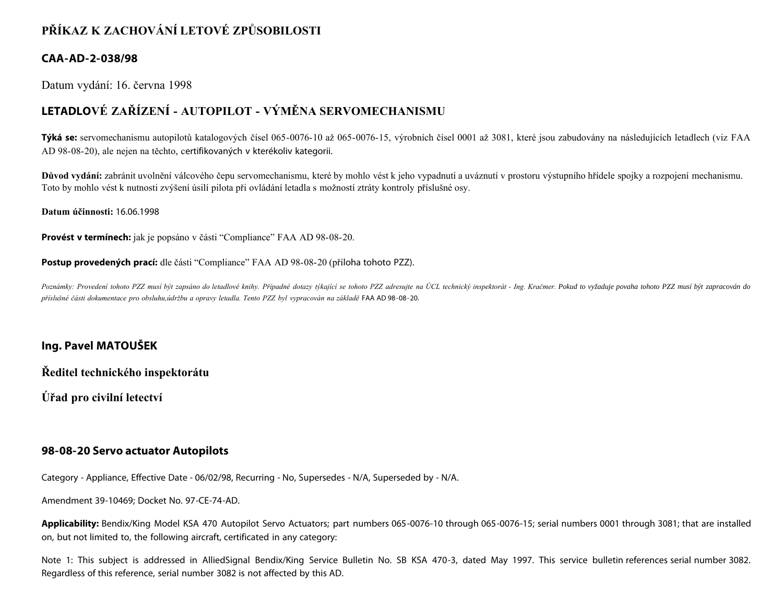# **PŘÍKAZ K ZACHOVÁNÍ LETOVÉ ZPŮSOBILOSTI**

#### **CAA-AD-2-038/98**

Datum vydání: 16. června 1998

# **LETADLOVÉ ZAŘÍZENÍ - AUTOPILOT - VÝMĚNA SERVOMECHANISMU**

**Týká se:** servomechanismu autopilotů katalogových čísel 065-0076-10 až 065-0076-15, výrobních čísel 0001 až 3081, které jsou zabudovány na následujících letadlech (viz FAA AD 98-08-20), ale nejen na těchto, certifikovaných v kterékoliv kategorii.

Důvod vydání: zabránit uvolnění válcového čepu servomechanismu, které by mohlo vést k jeho vypadnutí a uváznutí v prostoru výstupního hřídele spojky a rozpojení mechanismu. Toto by mohlo vést k nutnosti zvýšení úsilí pilota při ovládání letadla s možností ztráty kontroly příslušné osy.

**Datum účinnosti:** 16.06.1998

**Provést v termínech:** jak je popsáno v části "Compliance" FAA AD 98-08-20.

**Postup provedených prací:** dle části "Compliance" FAA AD 98-08-20 (příloha tohoto PZZ).

Poznámky: Provedení tohoto PZZ musí být zapsáno do letadlové knihy. Případné dotazy týkající se tohoto PZZ adresujte na ÚCL technický inspektorát - Ing. Kračmer. Pokud to vyžaduje povaha tohoto PZZ musí být zapracován do *příslušné části dokumentace pro obsluhu,údržbu a opravy letadla. Tento PZZ byl vypracován na základě* FAA AD 98-08-20.

### **Ing. Pavel MATOUŠEK**

**Ředitel technického inspektorátu**

**Úřad pro civilní letectví**

#### **98-08-20 Servo actuator Autopilots**

Category - Appliance, Effective Date - 06/02/98, Recurring - No, Supersedes - N/A, Superseded by - N/A.

Amendment 39-10469; Docket No. 97-CE-74-AD.

**Applicability:** Bendix/King Model KSA 470 Autopilot Servo Actuators; part numbers 065-0076-10 through 065-0076-15; serial numbers 0001 through 3081; that are installed on, but not limited to, the following aircraft, certificated in any category:

Note 1: This subject is addressed in AlliedSignal Bendix/King Service Bulletin No. SB KSA 470-3, dated May 1997. This service bulletin references serial number 3082. Regardless of this reference, serial number 3082 is not affected by this AD.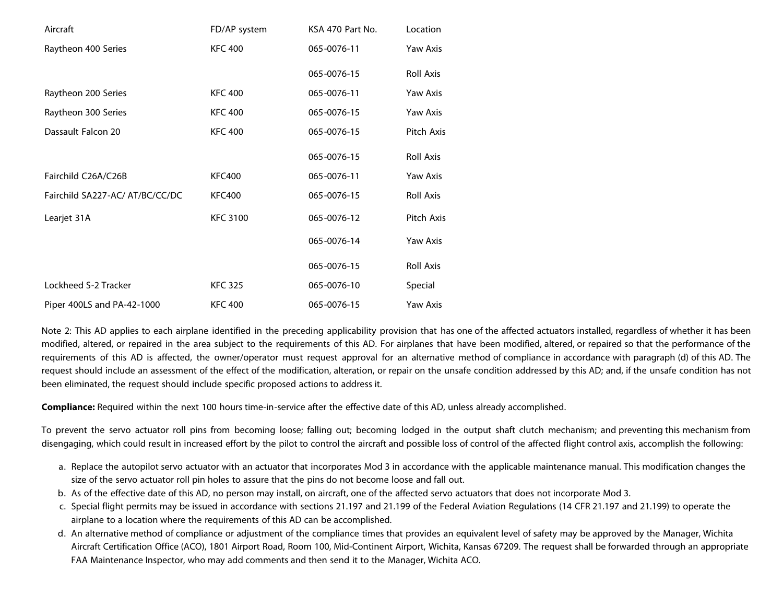| Aircraft                        | FD/AP system    | KSA 470 Part No. | Location         |
|---------------------------------|-----------------|------------------|------------------|
| Raytheon 400 Series             | <b>KFC 400</b>  | 065-0076-11      | Yaw Axis         |
|                                 |                 | 065-0076-15      | Roll Axis        |
| Raytheon 200 Series             | <b>KFC 400</b>  | 065-0076-11      | Yaw Axis         |
| Raytheon 300 Series             | <b>KFC 400</b>  | 065-0076-15      | Yaw Axis         |
| Dassault Falcon 20              | <b>KFC 400</b>  | 065-0076-15      | Pitch Axis       |
|                                 |                 | 065-0076-15      | <b>Roll Axis</b> |
| Fairchild C26A/C26B             | <b>KFC400</b>   | 065-0076-11      | Yaw Axis         |
| Fairchild SA227-AC/ AT/BC/CC/DC | <b>KFC400</b>   | 065-0076-15      | Roll Axis        |
| Learjet 31A                     | <b>KFC 3100</b> | 065-0076-12      | Pitch Axis       |
|                                 |                 | 065-0076-14      | Yaw Axis         |
|                                 |                 | 065-0076-15      | <b>Roll Axis</b> |
| Lockheed S-2 Tracker            | <b>KFC 325</b>  | 065-0076-10      | Special          |
| Piper 400LS and PA-42-1000      | <b>KFC 400</b>  | 065-0076-15      | Yaw Axis         |

Note 2: This AD applies to each airplane identified in the preceding applicability provision that has one of the affected actuators installed, regardless of whether it has been modified, altered, or repaired in the area subject to the requirements of this AD. For airplanes that have been modified, altered, or repaired so that the performance of the requirements of this AD is affected, the owner/operator must request approval for an alternative method of compliance in accordance with paragraph (d) of this AD. The request should include an assessment of the effect of the modification, alteration, or repair on the unsafe condition addressed by this AD; and, if the unsafe condition has not been eliminated, the request should include specific proposed actions to address it.

**Compliance:** Required within the next 100 hours time-in-service after the effective date of this AD, unless already accomplished.

To prevent the servo actuator roll pins from becoming loose; falling out; becoming lodged in the output shaft clutch mechanism; and preventing this mechanism from disengaging, which could result in increased effort by the pilot to control the aircraft and possible loss of control of the affected flight control axis, accomplish the following:

- a. Replace the autopilot servo actuator with an actuator that incorporates Mod 3 in accordance with the applicable maintenance manual. This modification changes the size of the servo actuator roll pin holes to assure that the pins do not become loose and fall out.
- b. As of the effective date of this AD, no person may install, on aircraft, one of the affected servo actuators that does not incorporate Mod 3.
- c. Special flight permits may be issued in accordance with sections 21.197 and 21.199 of the Federal Aviation Regulations (14 CFR 21.197 and 21.199) to operate the airplane to a location where the requirements of this AD can be accomplished.
- d. An alternative method of compliance or adjustment of the compliance times that provides an equivalent level of safety may be approved by the Manager, Wichita Aircraft Certification Office (ACO), 1801 Airport Road, Room 100, Mid-Continent Airport, Wichita, Kansas 67209. The request shall be forwarded through an appropriate FAA Maintenance Inspector, who may add comments and then send it to the Manager, Wichita ACO.